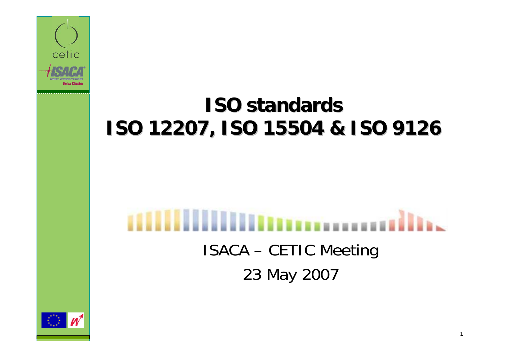

#### **ISO standards ISO standardsISO 12207, ISO 15504 & ISO 9126 ISO 12207, ISO 15504 & ISO 9126**

# ISACA – CETIC Meeting 23 May 2007

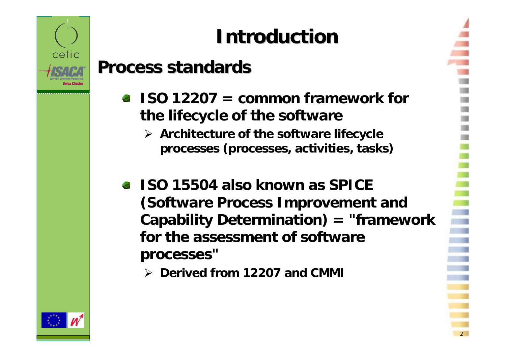

# **Introduction Introduction**

#### **Process Process standards standards**

- $\bullet$  **ISO 12207** = common framework for **the lifecycle of the software** 
	- ¾ **Architecture of the software lifecycle processes (processes, activities, tasks)**
- **ISO 15504 also known as SPICE (Software Process Improvement and Capability Determination) = "framework for the assessment of software processes"**

2

¾ **Derived from 12207 and CMMI**

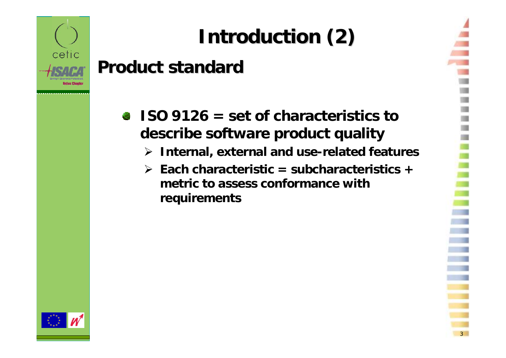

# **Introduction (2) Introduction (2)**

#### **Product Product standard standard**

- **ISO 9126 = set of characteristics to describe software product quality**
	- ¾ **Internal, external and use-related features**
	- ¾ **Each characteristic = subcharacteristics <sup>+</sup> metric to assess conformance withrequirements**

3

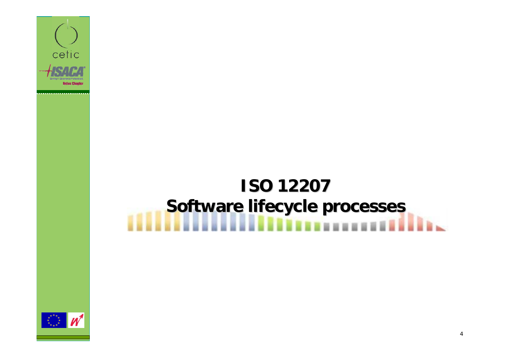

# **ISO 12207 ISO 12207 Software lifecycle processes**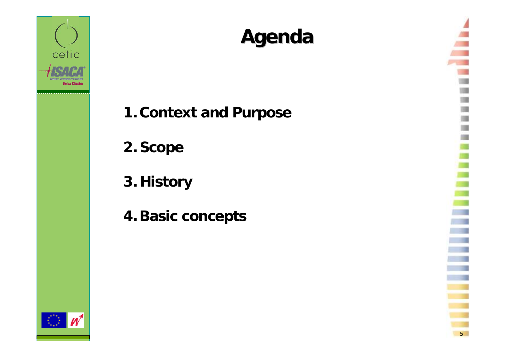

### **Agenda**

5

**1. Context and Purpose**

**2. Scope**

**3. History**

**4. Basic concepts**

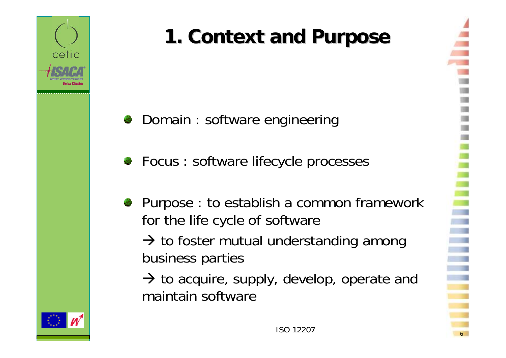

# **1. Context and Purpose**

- Domain : software engineering 43
- Focus : software lifecycle processes
- Purpose : to establish a common framework for the life cycle of software

 $\rightarrow$  to foster mutual understanding among business parties

 $\rightarrow$  to acquire, supply, develop, operate and maintain software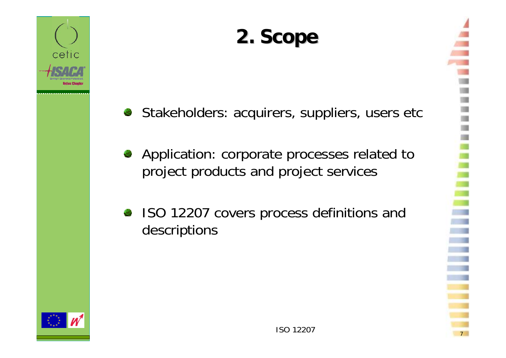

### **2. Scope 2. Scope**

- Stakeholders: acquirers, suppliers, users etc 物
- Application: corporate processes related to 45 project products and project services
- ISO 12207 covers process definitions and descriptions

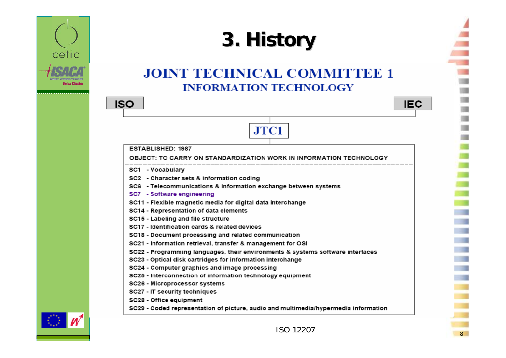

### **3. History**

#### **JOINT TECHNICAL COMMITTEE 1 INFORMATION TECHNOLOGY**

JTC1





**ESTABLISHED: 1987** 

#### OBJECT: TO CARRY ON STANDARDIZATION WORK IN INFORMATION TECHNOLOGY

- SC1 Vocabulary
- SC2 Character sets & information coding
- SC6 Telecommunications & information exchange between systems
- SC7 Software engineering
- SC11 Flexible magnetic media for digital data interchange
- SC14 Representation of data elements
- SC15 Labeling and file structure
- SC17 Identification cards & related devices
- SC18 Document processing and related communication
- SC21 Information retrieval, transfer & management for OSI
- SC22 Programming languages, their environments & systems software interfaces
- SC23 Optical disk cartridges for information interchange
- SC24 Computer graphics and image processing
- SC25 Interconnection of information technology equipment
- SC26 Microprocessor systems
- SC27 IT security techniques
- SC28 Office equipment
- SC29 Coded representation of picture, audio and multimedia/hypermedia information





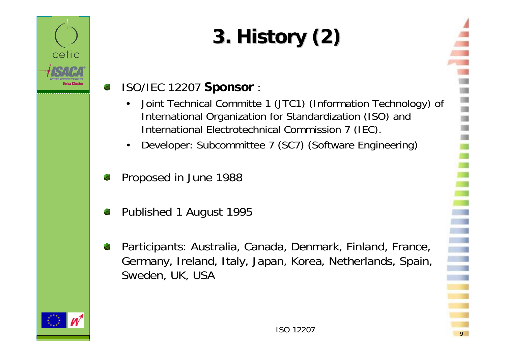# **3. History (2)**

#### ISO/IEC 12207 **Sponsor** :

- • Joint Technical Committe 1 (JTC1) (Information Technology) of International Organization for Standardization (ISO) and International Electrotechnical Commission 7 (IEC).
- •Developer: Subcommittee 7 (SC7) (Software Engineering)
- Proposed in June 1988
- Published 1 August 1995
- Participants: Australia, Canada, Denmark, Finland, France, Germany, Ireland, Italy, Japan, Korea, Netherlands, Spain, Sweden, UK, USA



cetic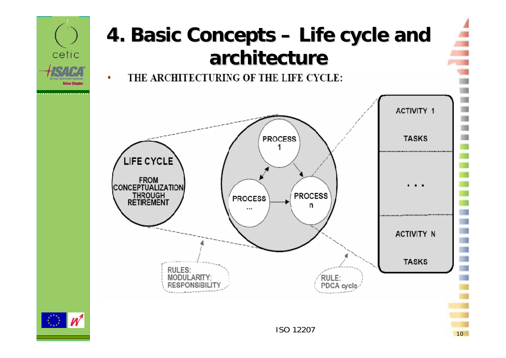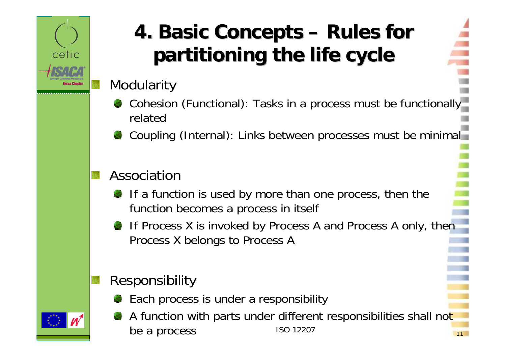

### **4. Basic Concepts 4. Basic Concepts – Rules for partitioning partitioning the life cycle**

#### **Modularity**

- Cohesion (Functional): Tasks in a process must be functionally related
- Coupling (Internal): Links between processes must be minimal

#### Association

- If a function is used by more than one process, then the function becomes a process in itself
- If Process X is invoked by Process A and Process A only, then Process X belongs to Process A

#### Responsibility

- Each process is under a responsibility
- ISO 12207 $11$ A function with parts under different responsibilities shall not be a process

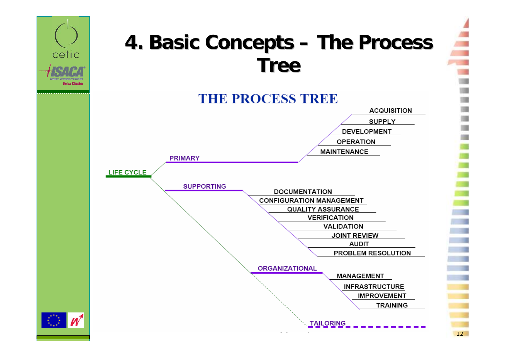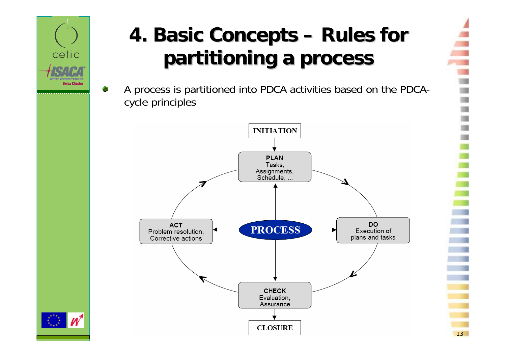

С.

### **4. Basic Concepts 4. Basic Concepts – Rules for partitioning partitioning a process process**

A process is partitioned into PDCA activities based on the PDCAcycle principles



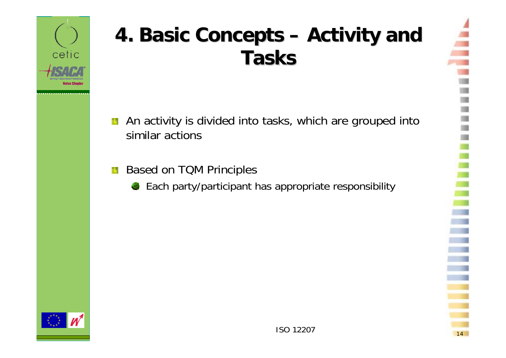

### **4. Basic Concepts 4. Basic Concepts – Activity Activity and Tasks**

- An activity is divided into tasks, which are grouped into **A** similar actions
- Based on TQM Principles 闣
	- Each party/participant has appropriate responsibility

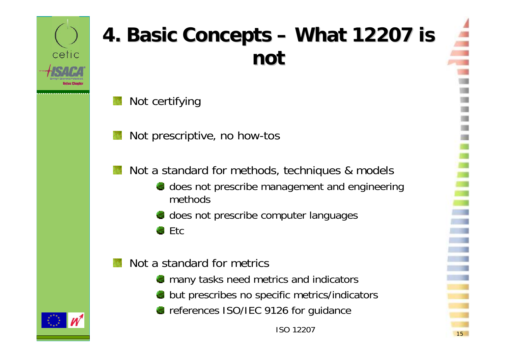

### **4. Basic Concepts 4. Basic Concepts – What 12207 is not**

- Not certifying
- Not prescriptive, no how-tos
- Not a standard for methods, techniques & models
	- does not prescribe management and engineering methods
	- does not prescribe computer languages
	- Etc43
- Not a standard for metrics
	- **nany tasks need metrics and indicators**
	- but prescribes no specific metrics/indicators
	- **Parameter ISO/IEC 9126 for guidance**

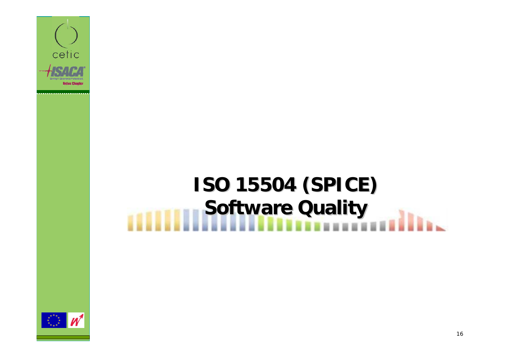

# **ISO 15504 (SPICE) ISO 15504 (SPICE) Software Quality**

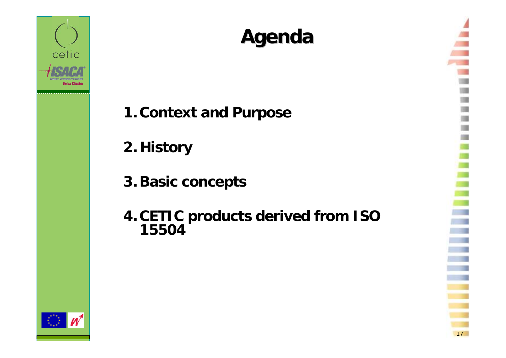

### **Agenda**

- **1. Context and Purpose**
- **2. History**
- **3. Basic concepts**
- **4. CETIC products derived from ISO 15504**

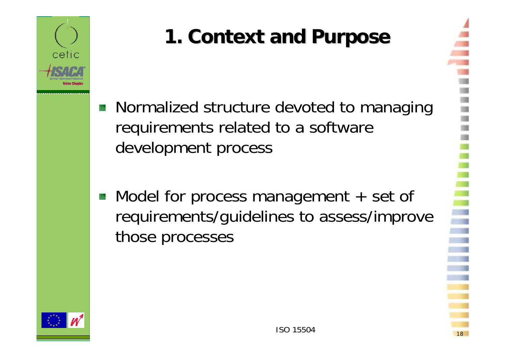

# **1. Context and Purpose**

- **Normalized structure devoted to managing** requirements related to a software development process
- Model for process management  $+$  set of requirements/guidelines to assess/improve those processes

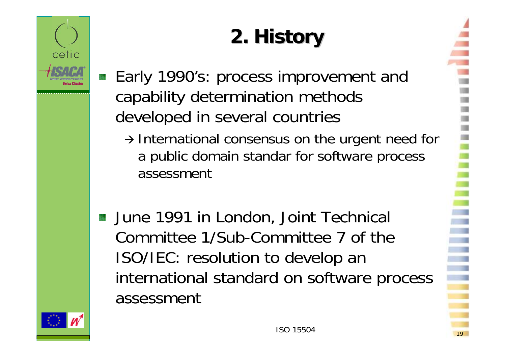

# **2. History**

- Early 1990's: process improvement and capability determination methods developed in several countries
	- $\rightarrow$  International consensus on the urgent need for a public domain standar for software process assessment
- **June 1991 in London, Joint Technical** Committee 1/Sub-Committee 7 of the ISO/IEC: resolution to develop an international standard on software process assessment

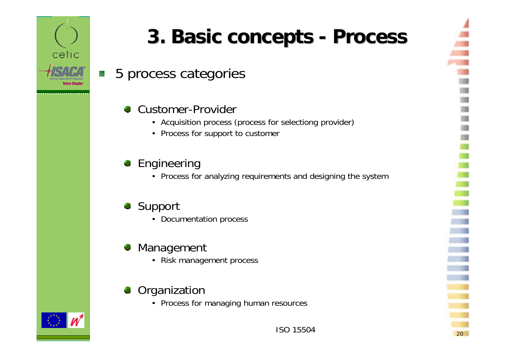

## **3. Basic concepts 3. Basic concepts - Process Process**

5 process categories is.

#### Customer-Provider

- Acquisition process (process for selectiong provider)
- Process for support to customer

#### **Engineering**

• Process for analyzing requirements and designing the system

#### Support

• Documentation process

#### Management €

• Risk management process

#### Organization

• Process for managing human resources



20

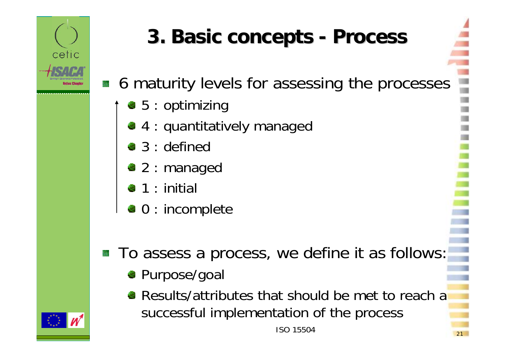

# **3. Basic concepts 3. Basic concepts - Process Process**

■ 6 maturity levels for assessing the processes

- $\bullet 5 :$  optimizing
- 4 : quantitatively managed
- 3 : defined
- 2 : managed
- $\bullet$  1 : initial
- $\bullet$  0 : incomplete
- To assess a process, we define it as follows: 馐
	- Purpose/goal
	- Results/attributes that should be met to reach a successful implementation of the process

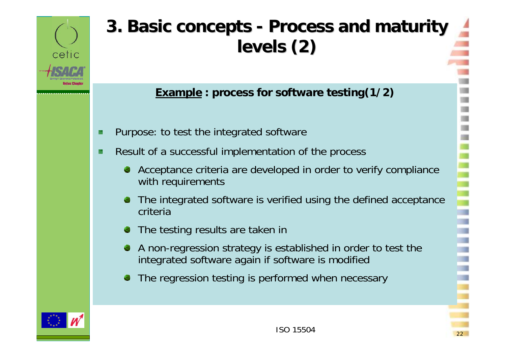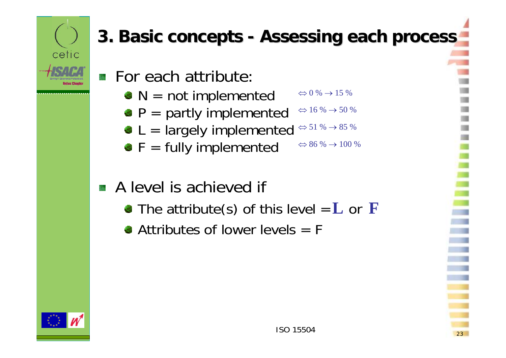

### **3. Basic concepts 3. Basic concepts - Assessing Assessing each process process**

- For each attribute:
	- $\bullet$  N = not implemented  $\Leftrightarrow$  0 %  $\rightarrow$  15 %
	- $\bullet$  P = partly implemented  $\Leftrightarrow$  16 %  $\rightarrow$  50 %
	- L = largely implemented  $^{\Leftrightarrow 51\,\% \,\to\, 85\,\%}$
	- $\bullet$  F = fully implemented  $\Leftrightarrow$  86 %  $\rightarrow$  100 %

#### **A** level is achieved if

- The attribute(s) of this level  $= L$  or **F**
- $\bullet$  Attributes of lower levels  $=$  F

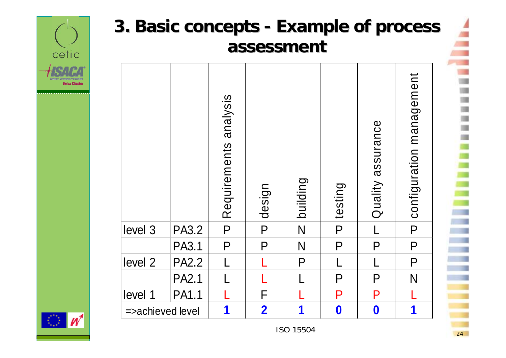



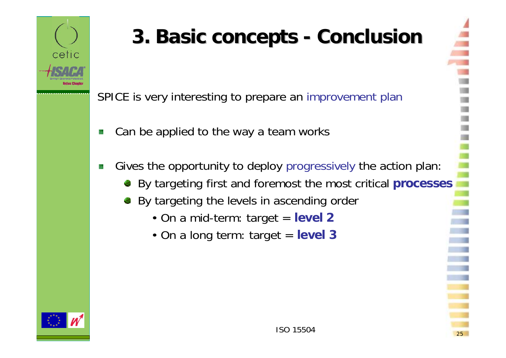

# **3. Basic concepts 3. Basic concepts - Conclusion Conclusion**

SPICE is very interesting to prepare an improvement plan

- Can be applied to the way a team works Š.
- Gives the opportunity to deploy progressively the action plan: 族
	- By targeting first and foremost the most critical **processes**
	- By targeting the levels in ascending order
		- On a mid-term: target <sup>=</sup>**level 2**
		- On a long term: target <sup>=</sup>**level 3**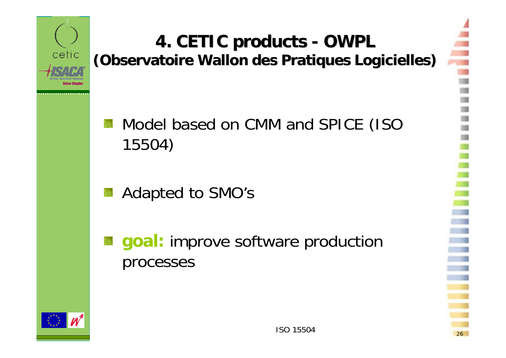

#### **4. CETIC products - OWPL (Observatoire Wallon des Pratiques Logicielles) (Observatoire Wallon des Pratiques Logicielles)**

Model based on CMM and SPICE (ISO 15504)

Adapted to SMO's

**goal:** improve software production processes



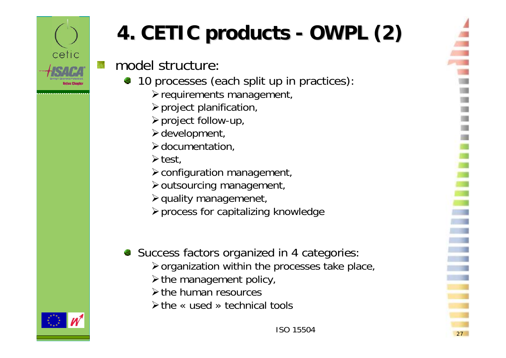

# **4. CETIC 4. CETIC products products - OWPL (2) OWPL (2)**

model structure:

- 10 processes (each split up in practices):
	- $\blacktriangleright$  requirements management,
	- $\triangleright$  project planification,
	- ¾project follow-up,
	- $\blacktriangleright$  development,
	- $\triangleright$  documentation,
	- $\blacktriangleright$  test,
	- ¾configuration management,
	- ¾outsourcing management,
	- ¾quality managemenet,
	- ¾process for capitalizing knowledge
- Success factors organized in 4 categories:
	- ¾organization within the processes take place,
	- $\triangleright$  the management policy,
	- ¾the human resources
	- ¾the « used » technical tools

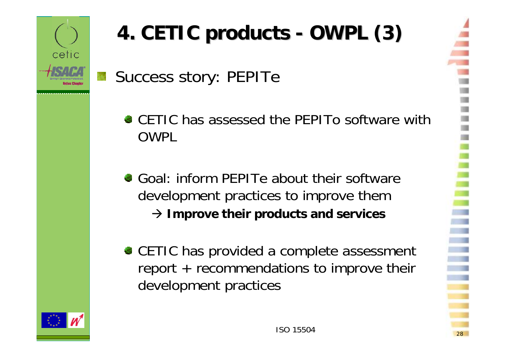

# **4. CETIC 4. CETIC products products - OWPL (3) OWPL (3)**

Success story: PEPITe

- CETIC has assessed the PEPITo software withOWPL
- Goal: inform PEPITe about their software development practices to improve them Æ **Improve their products and services**
- CETIC has provided a complete assessment report + recommendations to improve their development practices



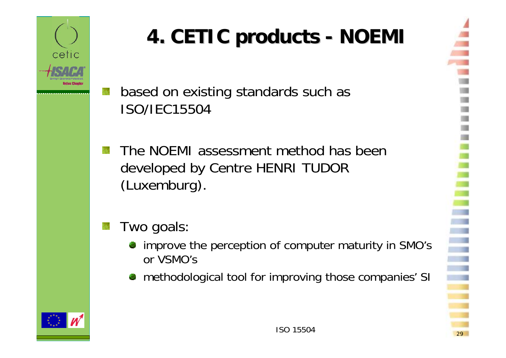

# **4. CETIC 4. CETIC products products - NOEMI**

- based on existing standards such as ISO/IEC15504
- The NOEMI assessment method has been developed by Centre HENRI TUDOR (Luxemburg).

#### Two goals:

- improve the perception of computer maturity in SMO's or VSMO's
- methodological tool for improving those companies' SI



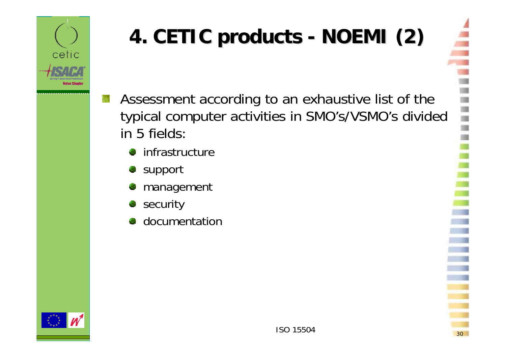

# **4. CETIC products - NOEMI (2)**

- Assessment according to an exhaustive list of the 簇 typical computer activities in SMO's/VSMO's divided in 5 fields:
	- 物 infrastructure
	- support 慸
	- management
	- security
	- **documentation**

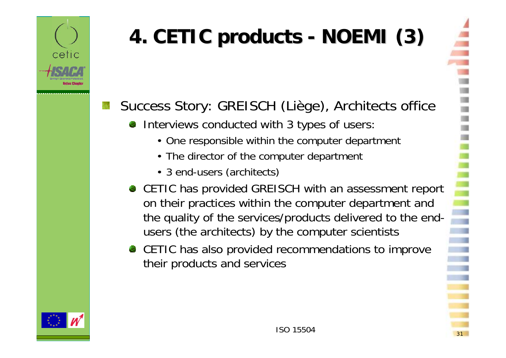

# **4. CETIC products - NOEMI (3)**

#### Success Story: GREISCH (Liège), Architects office

- Interviews conducted with 3 types of users:
	- One responsible within the computer department
	- The director of the computer department
	- 3 end-users (architects)
- CETIC has provided GREISCH with an assessment report on their practices within the computer department and the quality of the services/products delivered to the endusers (the architects) by the computer scientists
- CETIC has also provided recommendations to improve their products and services

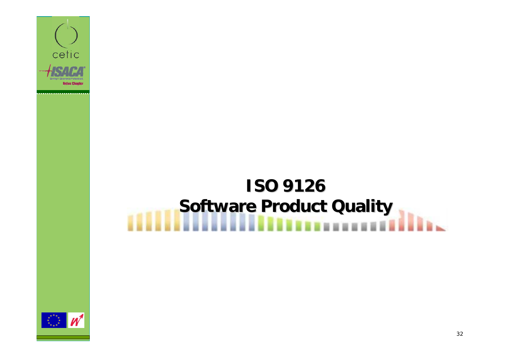

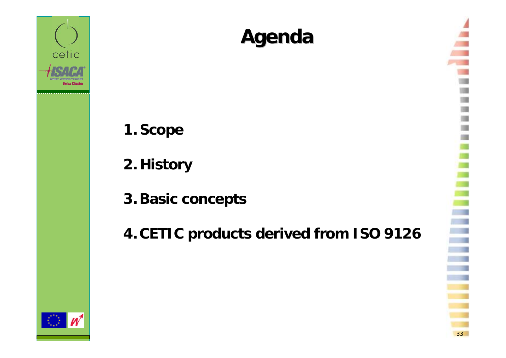

### **Agenda**

- **1. Scope**
- **2. History**
- **3. Basic concepts**
- **4. CETIC products derived from ISO 9126**

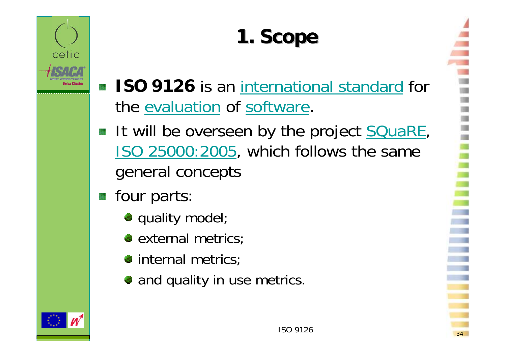

# **1. Scope 1. Scope**

- **ISO 9126** is an international standard for the evaluation of software.
- It will be overseen by the project **SQuaRE**, ISO 25000:2005, which follows the same general concepts
- **four parts:** 
	- **quality model;**
	- **external metrics;**
	- internal metrics;
	- and quality in use metrics.

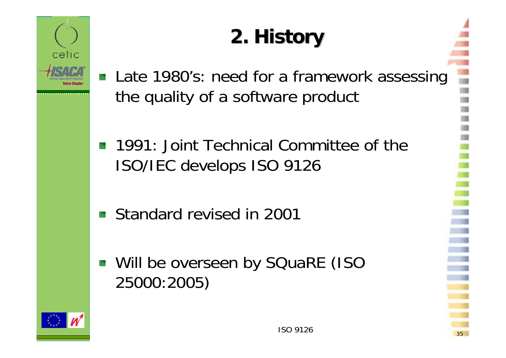

# **2. History**

- Late 1980's: need for a framework assessing the quality of a software product
- **1991: Joint Technical Committee of the** ISO/IEC develops ISO 9126
- Standard revised in 200184
- **Will be overseen by SQuaRE (ISO** 25000:2005)

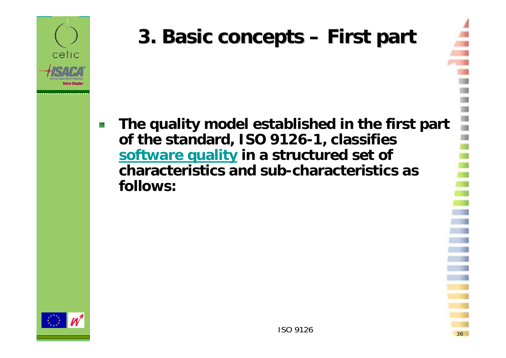

# **3. Basic concepts 3. Basic concepts – First part**

**The quality model established in the first part**  88 **of the standard, ISO 9126-1, classifies software quality in a structured set of characteristics and sub-characteristics as follows:**

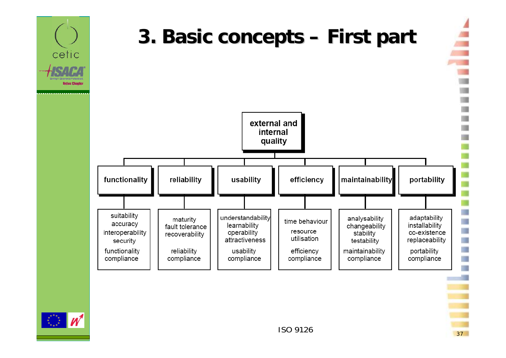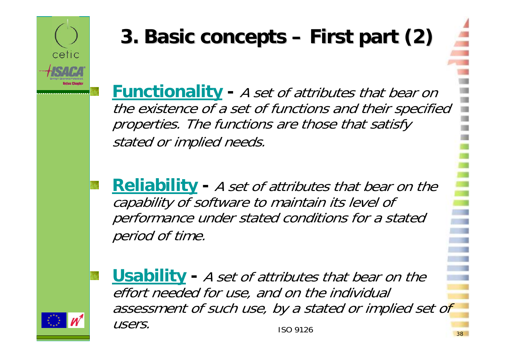

# **3. Basic concepts 3. Basic concepts – First part (2) part (2)**

**Functionality -** A set of attributes that bear on the existence of a set of functions and their specified properties. The functions are those that satisfy stated or implied needs.

**Reliability -** A set of attributes that bear on the capability of software to maintain its level of performance under stated conditions for a stated period of time.

ISO 9126 $\sim$  38 **Usability -** A set of attributes that bear on the effort needed for use, and on the individual assessment of such use, by a stated or implied set of users.

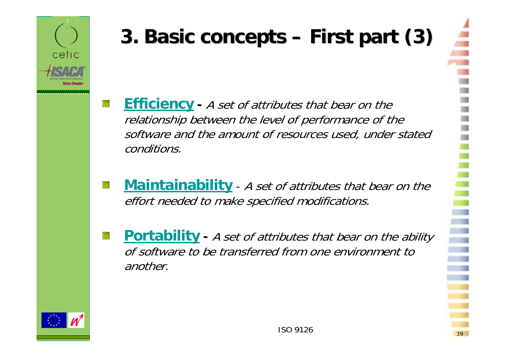

# **3. Basic concepts 3. Basic concepts – First part (3) part (3)**

- **Efficiency -** A set of attributes that bear on the relationship between the level of performance of the software and the amount of resources used, under stated conditions.
- **Maintainability** A set of attributes that bear on the effort needed to make specified modifications.
- **Portability** A set of attributes that bear on the ability of software to be transferred from one environment to another.



cetic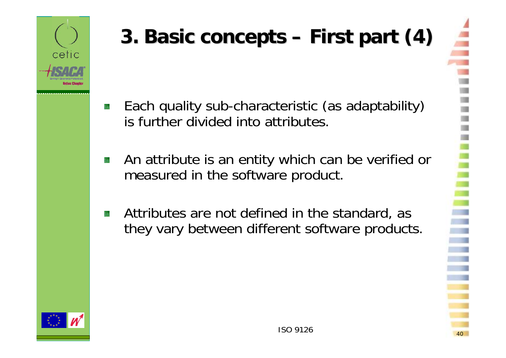

# **3. Basic concepts 3. Basic concepts – First part (4) part (4)**

- Each quality sub-characteristic (as adaptability) 辮 is further divided into attributes.
- An attribute is an entity which can be verified or 籐 measured in the software product.
- Attributes are not defined in the standard, as 臻 they vary between different software products.



cetic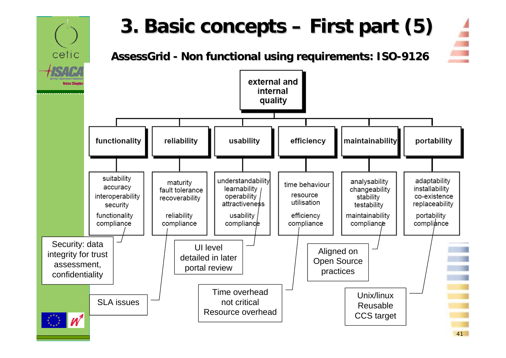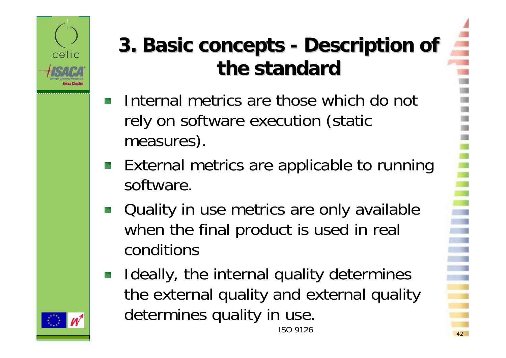

# **3. Basic concepts 3. Basic concepts - Description Description of the standard standard**

- Internal metrics are those which do not rely on software execution (static measures).
- External metrics are applicable to running 跊 software.
- Quality in use metrics are only available 彉 when the final product is used in real conditions
- Ideally, the internal quality determines 锑 the external quality and external quality determines quality in use. ISO 9126

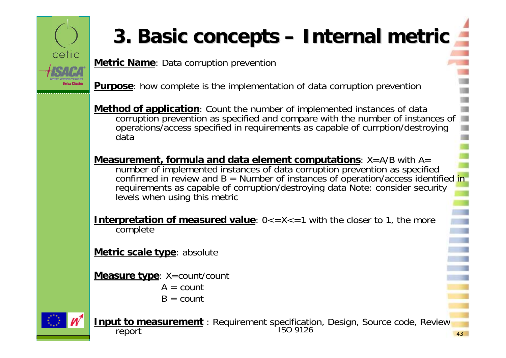

# **3. Basic concepts 3. Basic concepts – Internal Internal metric**

**Metric Name**: Data corruption prevention

**Purpose**: how complete is the implementation of data corruption prevention

**Method of application**: Count the number of implemented instances of data corruption prevention as specified and compare with the number of instances of operations/access specified in requirements as capable of currption/destroying data

**Measurement, formula and data element computations:**  $X = A/B$  **with A=** number of implemented instances of data corruption prevention as specified confirmed in review and  $B =$  Number of instances of operation/access identified in requirements as capable of corruption/destroying data Note: consider security levels when using this metric

**Interpretation of measured value:**  $0 \lt 2 \lt 2 \lt 1$  with the closer to 1, the more complete

**Metric scale type**: absolute

**Measure type**: X=count/count

- $A = \text{count}$
- $B = \text{count}$



ISO 9126 $\sim$  43 **Input to measurement**: Requirement specification, Design, Source code, Review report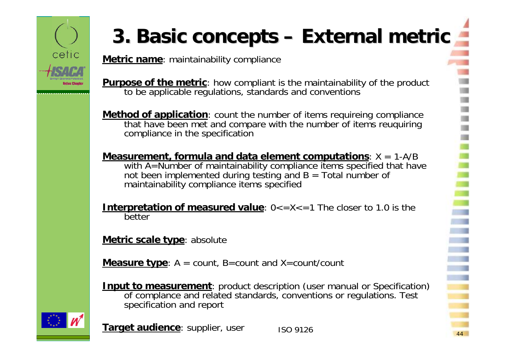

# **3. Basic concepts – External metric**

**Metric name**: maintainability compliance

**Purpose of the metric**: how compliant is the maintainability of the product to be applicable regulations, standards and conventions

**Method of application**: count the number of items requireing compliance that have been met and compare with the number of items reuquiring compliance in the specification

**Measurement, formula and data element computations**: X = 1-A/B with A=Number of maintainability compliance items specified that have not been implemented during testing and  $B = \text{Total number of}$ maintainability compliance items specified

**Interpretation of measured value:**  $0 \le x \le -1$  The closer to 1.0 is the better

**Metric scale type**: absolute

**Measure type**: A = count, B=count and X=count/count

**Input to measurement**: product description (user manual or Specification) of complance and related standards, conventions or regulations. Test specification and report



**Target audience**: supplier, user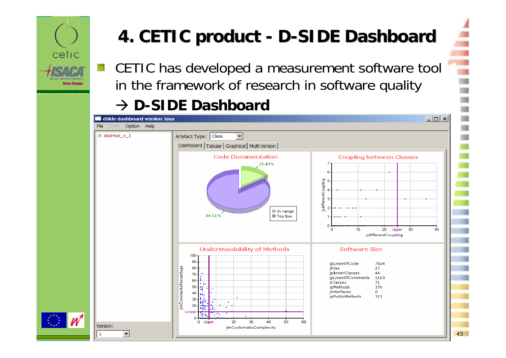

### **4. CETIC product - D-SIDE Dashboard**

CETIC has developed a measurement software tool 鮾 in the framework of research in software quality

#### $\rightarrow$  **D-SIDE Dashboard**

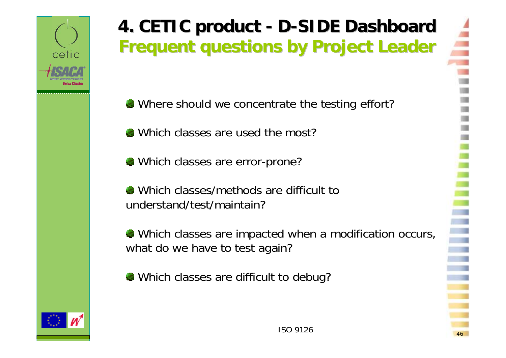

#### **4. CETIC product - D-SIDE Dashboard Frequent Frequent questions by Project Leader questions by Project Leader**

- Where should we concentrate the testing effort?
- Which classes are used the most?
- Which classes are error-prone?
- Which classes/methods are difficult to understand/test/maintain?
- Which classes are impacted when a modification occurs, what do we have to test again?
- Which classes are difficult to debug?

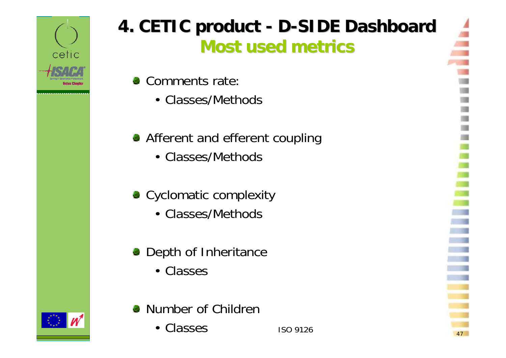

#### **4. CETIC product - D-SIDE Dashboard Most used metrics metrics**

- Comments rate:
	- Classes/Methods
- **Afferent and efferent coupling** 
	- Classes/Methods
- Cyclomatic complexity
	- Classes/Methods
- **•** Depth of Inheritance
	- Classes
- **Number of Children** 
	- ISO 9126• Classes

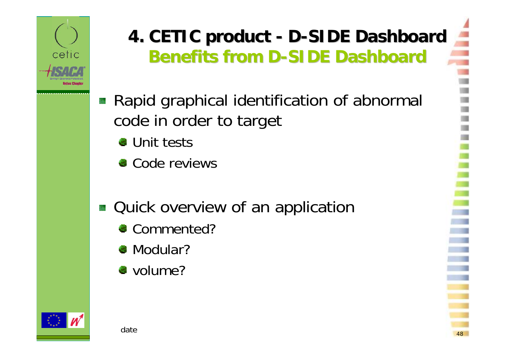

### **4. CETIC product - D-SIDE Dashboard Benefits from D-SIDE Dashboard**

- Rapid graphical identification of abnormal code in order to target
	- **Unit tests**
	- Code reviews
- **Quick overview of an application** 
	- Commented?
	- Modular?
	- volume?